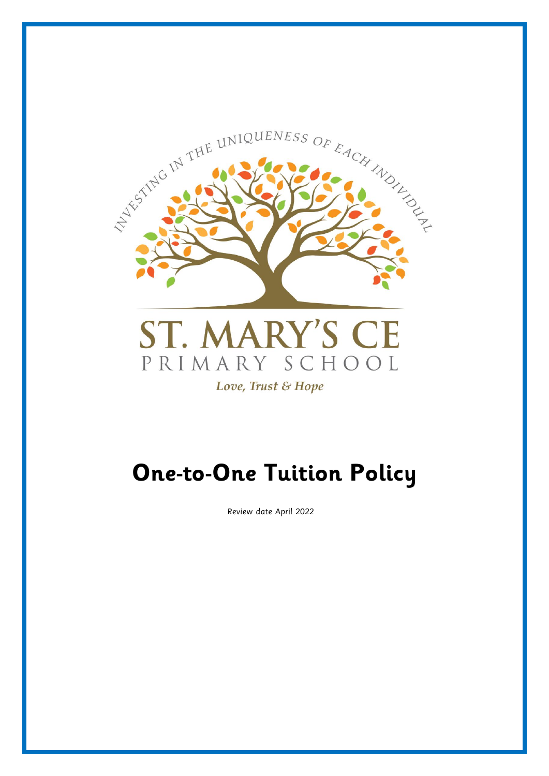

# **One-to-One Tuition Policy**

Review date April 2022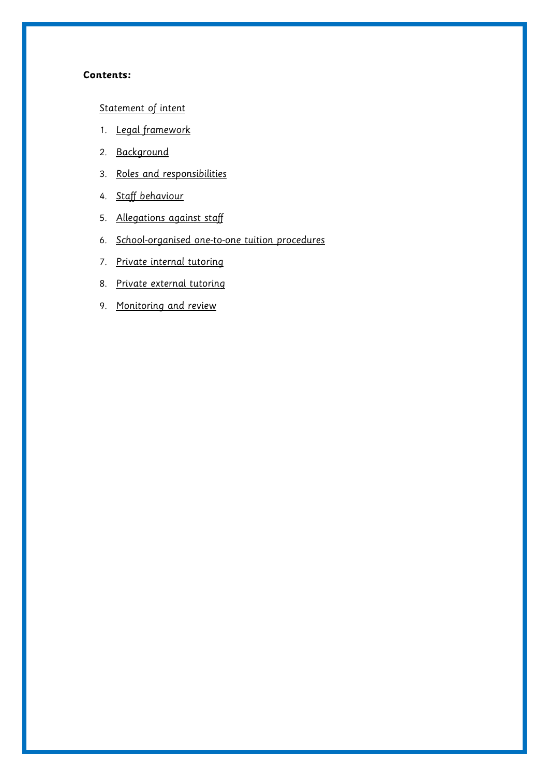#### **Contents:**

## [Statement of intent](#page-2-0)

- 1. [Legal framework](#page-3-0)
- 2. [Background](#page-3-1)
- 3. [Roles and responsibilities](#page-4-0)
- 4. [Staff behaviour](#page-6-0)
- 5. [Allegations against staff](#page-6-1)
- 6. [School-organised one-to-one tuition procedures](#page-6-2)
- 7. [Private internal tutoring](#page-8-0)
- 8. [Private external tutoring](#page-8-1)
- 9. [Monitoring and review](#page-8-1)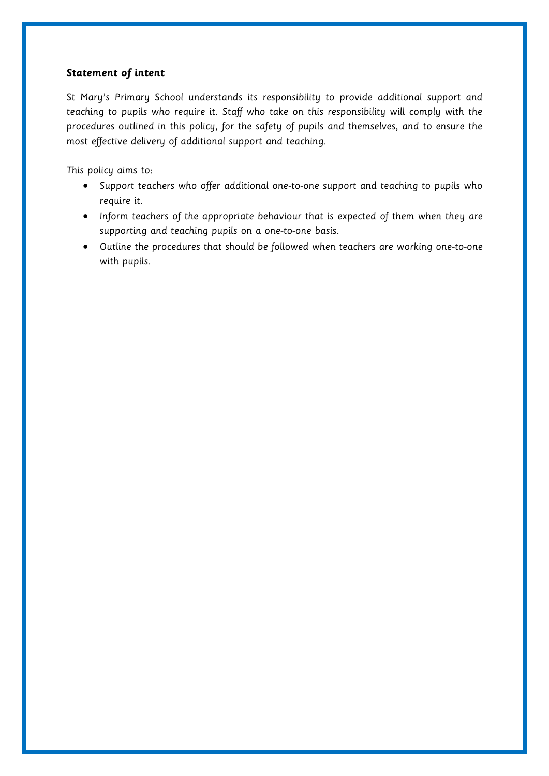## <span id="page-2-0"></span>**Statement of intent**

St Mary's Primary School understands its responsibility to provide additional support and teaching to pupils who require it. Staff who take on this responsibility will comply with the procedures outlined in this policy, for the safety of pupils and themselves, and to ensure the most effective delivery of additional support and teaching.

This policy aims to:

- Support teachers who offer additional one-to-one support and teaching to pupils who require it.
- Inform teachers of the appropriate behaviour that is expected of them when they are supporting and teaching pupils on a one-to-one basis.
- Outline the procedures that should be followed when teachers are working one-to-one with pupils.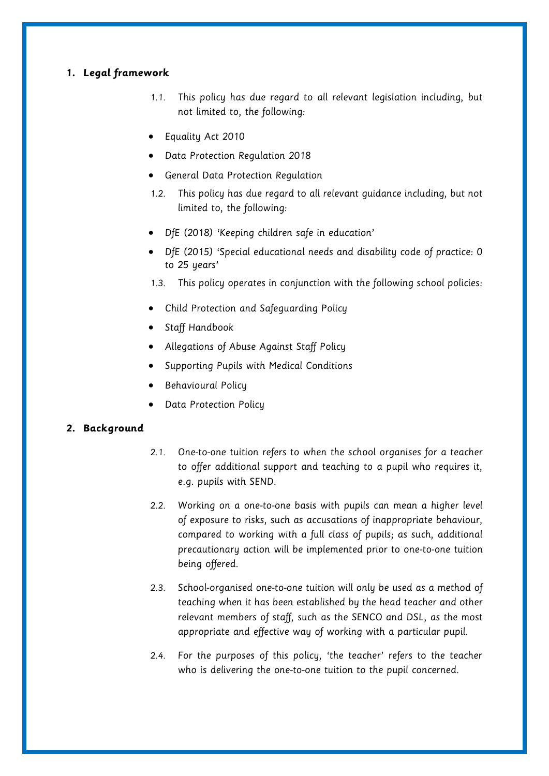## <span id="page-3-0"></span>**1. Legal framework**

- 1.1. This policy has due regard to all relevant legislation including, but not limited to, the following:
- Equality Act 2010
- Data Protection Regulation 2018
- General Data Protection Regulation
- 1.2. This policy has due regard to all relevant guidance including, but not limited to, the following:
- DfE (2018) 'Keeping children safe in education'
- DfE (2015) 'Special educational needs and disability code of practice: 0 to 25 years'
- 1.3. This policy operates in conjunction with the following school policies:
- Child Protection and Safeguarding Policy
- Staff Handbook
- Allegations of Abuse Against Staff Policy
- Supporting Pupils with Medical Conditions
- Behavioural Policy
- Data Protection Policy

## <span id="page-3-1"></span>**2. Background**

- 2.1. One-to-one tuition refers to when the school organises for a teacher to offer additional support and teaching to a pupil who requires it, e.g. pupils with SEND.
- 2.2. Working on a one-to-one basis with pupils can mean a higher level of exposure to risks, such as accusations of inappropriate behaviour, compared to working with a full class of pupils; as such, additional precautionary action will be implemented prior to one-to-one tuition being offered.
- 2.3. School-organised one-to-one tuition will only be used as a method of teaching when it has been established by the head teacher and other relevant members of staff, such as the SENCO and DSL, as the most appropriate and effective way of working with a particular pupil.
- 2.4. For the purposes of this policy, 'the teacher' refers to the teacher who is delivering the one-to-one tuition to the pupil concerned.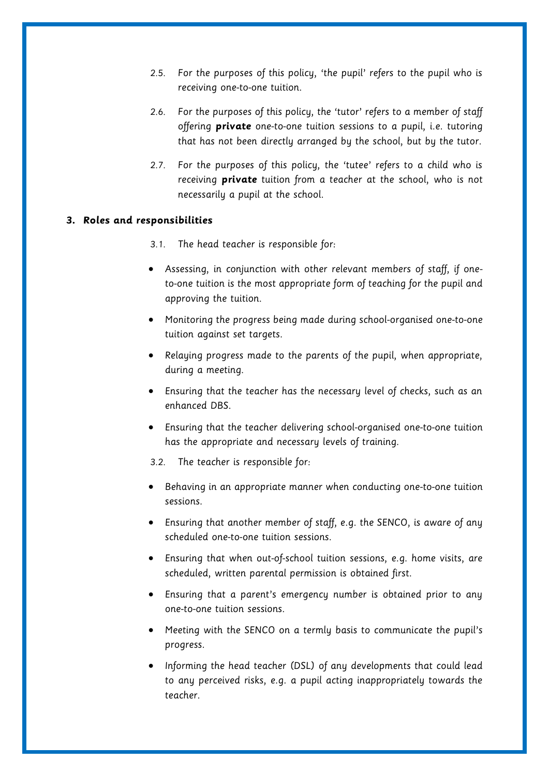- 2.5. For the purposes of this policy, 'the pupil' refers to the pupil who is receiving one-to-one tuition.
- 2.6. For the purposes of this policy, the 'tutor' refers to a member of staff offering **private** one-to-one tuition sessions to a pupil, i.e. tutoring that has not been directly arranged by the school, but by the tutor.
- 2.7. For the purposes of this policy, the 'tutee' refers to a child who is receiving **private** tuition from a teacher at the school, who is not necessarily a pupil at the school.

#### <span id="page-4-0"></span>**3. Roles and responsibilities**

- 3.1. The head teacher is responsible for:
- Assessing, in conjunction with other relevant members of staff, if oneto-one tuition is the most appropriate form of teaching for the pupil and approving the tuition.
- Monitoring the progress being made during school-organised one-to-one tuition against set targets.
- Relaying progress made to the parents of the pupil, when appropriate, during a meeting.
- Ensuring that the teacher has the necessary level of checks, such as an enhanced DBS.
- Ensuring that the teacher delivering school-organised one-to-one tuition has the appropriate and necessary levels of training.
- 3.2. The teacher is responsible for:
- Behaving in an appropriate manner when conducting one-to-one tuition sessions.
- Ensuring that another member of staff, e.g. the SENCO, is aware of any scheduled one-to-one tuition sessions.
- Ensuring that when out-of-school tuition sessions, e.g. home visits, are scheduled, written parental permission is obtained first.
- Ensuring that a parent's emergency number is obtained prior to any one-to-one tuition sessions.
- Meeting with the SENCO on a termly basis to communicate the pupil's progress.
- Informing the head teacher (DSL) of any developments that could lead to any perceived risks, e.g. a pupil acting inappropriately towards the teacher.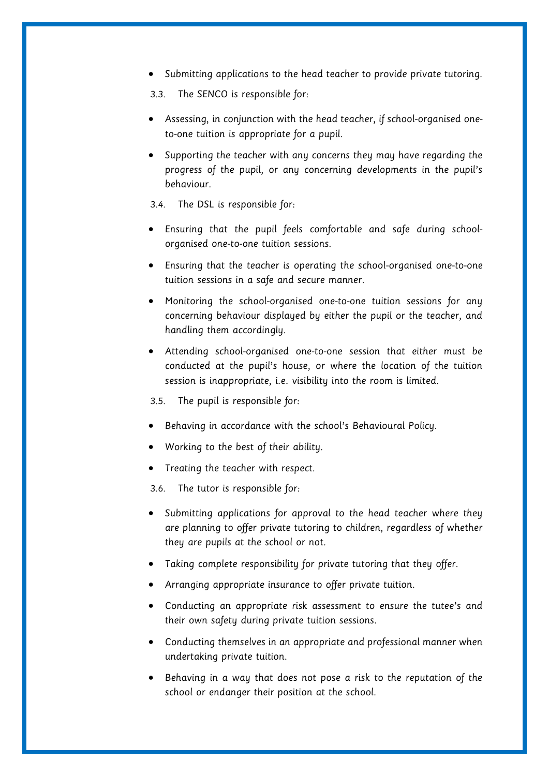- Submitting applications to the head teacher to provide private tutoring.
- 3.3. The SENCO is responsible for:
- Assessing, in conjunction with the head teacher, if school-organised oneto-one tuition is appropriate for a pupil.
- Supporting the teacher with any concerns they may have regarding the progress of the pupil, or any concerning developments in the pupil's behaviour.
- 3.4. The DSL is responsible for:
- Ensuring that the pupil feels comfortable and safe during schoolorganised one-to-one tuition sessions.
- Ensuring that the teacher is operating the school-organised one-to-one tuition sessions in a safe and secure manner.
- Monitoring the school-organised one-to-one tuition sessions for any concerning behaviour displayed by either the pupil or the teacher, and handling them accordingly.
- Attending school-organised one-to-one session that either must be conducted at the pupil's house, or where the location of the tuition session is inappropriate, i.e. visibility into the room is limited.

3.5. The pupil is responsible for:

- Behaving in accordance with the school's Behavioural Policy.
- Working to the best of their ability.
- Treating the teacher with respect.

3.6. The tutor is responsible for:

- Submitting applications for approval to the head teacher where they are planning to offer private tutoring to children, regardless of whether they are pupils at the school or not.
- Taking complete responsibility for private tutoring that they offer.
- Arranging appropriate insurance to offer private tuition.
- Conducting an appropriate risk assessment to ensure the tutee's and their own safety during private tuition sessions.
- Conducting themselves in an appropriate and professional manner when undertaking private tuition.
- Behaving in a way that does not pose a risk to the reputation of the school or endanger their position at the school.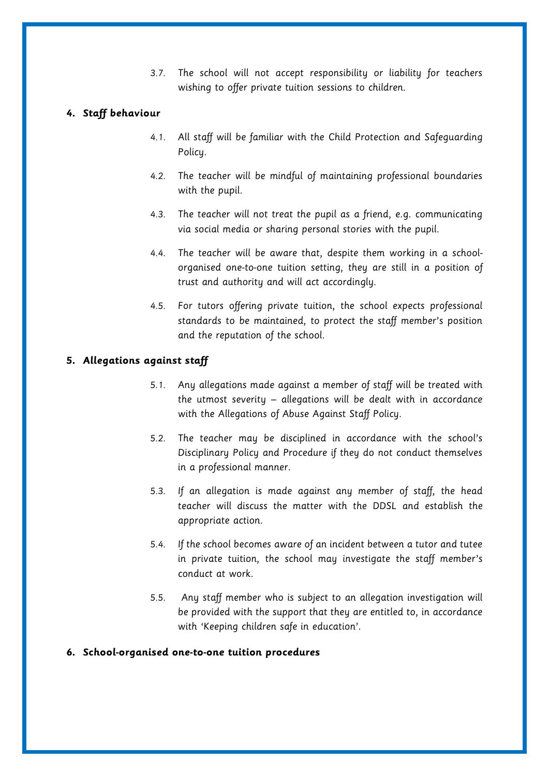3.7. The school will not accept responsibility or liability for teachers wishing to offer private tuition sessions to children.

## <span id="page-6-0"></span>**4. Staff behaviour**

- 4.1. All staff will be familiar with the Child Protection and Safeguarding Policy.
- 4.2. The teacher will be mindful of maintaining professional boundaries with the pupil.
- 4.3. The teacher will not treat the pupil as a friend, e.g. communicating via social media or sharing personal stories with the pupil.
- 4.4. The teacher will be aware that, despite them working in a schoolorganised one-to-one tuition setting, they are still in a position of trust and authority and will act accordingly.
- 4.5. For tutors offering private tuition, the school expects professional standards to be maintained, to protect the staff member's position and the reputation of the school.

## <span id="page-6-1"></span>**5. Allegations against staff**

- 5.1. Any allegations made against a member of staff will be treated with the utmost severity – allegations will be dealt with in accordance with the Allegations of Abuse Against Staff Policy.
- 5.2. The teacher may be disciplined in accordance with the school's Disciplinary Policy and Procedure if they do not conduct themselves in a professional manner.
- 5.3. If an allegation is made against any member of staff, the head teacher will discuss the matter with the DDSL and establish the appropriate action.
- 5.4. If the school becomes aware of an incident between a tutor and tutee in private tuition, the school may investigate the staff member's conduct at work.
- 5.5. Any staff member who is subject to an allegation investigation will be provided with the support that they are entitled to, in accordance with 'Keeping children safe in education'.

## <span id="page-6-2"></span>**6. School-organised one-to-one tuition procedures**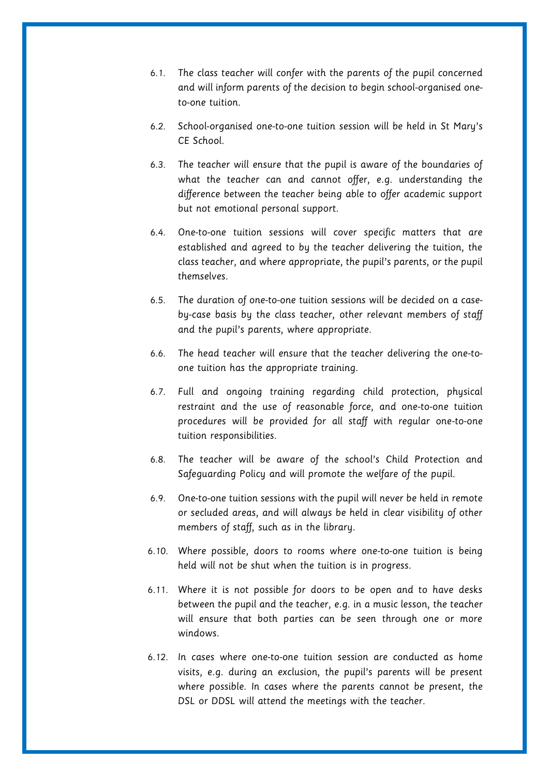- 6.1. The class teacher will confer with the parents of the pupil concerned and will inform parents of the decision to begin school-organised oneto-one tuition.
- 6.2. School-organised one-to-one tuition session will be held in St Mary's CE School.
- 6.3. The teacher will ensure that the pupil is aware of the boundaries of what the teacher can and cannot offer, e.g. understanding the difference between the teacher being able to offer academic support but not emotional personal support.
- 6.4. One-to-one tuition sessions will cover specific matters that are established and agreed to by the teacher delivering the tuition, the class teacher, and where appropriate, the pupil's parents, or the pupil themselves.
- 6.5. The duration of one-to-one tuition sessions will be decided on a caseby-case basis by the class teacher, other relevant members of staff and the pupil's parents, where appropriate.
- 6.6. The head teacher will ensure that the teacher delivering the one-toone tuition has the appropriate training.
- 6.7. Full and ongoing training regarding child protection, physical restraint and the use of reasonable force, and one-to-one tuition procedures will be provided for all staff with regular one-to-one tuition responsibilities.
- 6.8. The teacher will be aware of the school's Child Protection and Safeguarding Policy and will promote the welfare of the pupil.
- 6.9. One-to-one tuition sessions with the pupil will never be held in remote or secluded areas, and will always be held in clear visibility of other members of staff, such as in the library.
- 6.10. Where possible, doors to rooms where one-to-one tuition is being held will not be shut when the tuition is in progress.
- 6.11. Where it is not possible for doors to be open and to have desks between the pupil and the teacher, e.g. in a music lesson, the teacher will ensure that both parties can be seen through one or more windows.
- 6.12. In cases where one-to-one tuition session are conducted as home visits, e.g. during an exclusion, the pupil's parents will be present where possible. In cases where the parents cannot be present, the DSL or DDSL will attend the meetings with the teacher.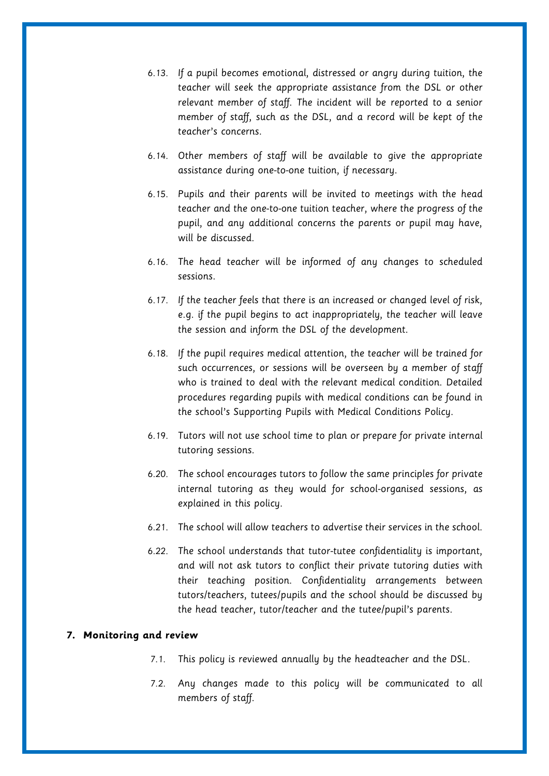- 6.13. If a pupil becomes emotional, distressed or angry during tuition, the teacher will seek the appropriate assistance from the DSL or other relevant member of staff. The incident will be reported to a senior member of staff, such as the DSL, and a record will be kept of the teacher's concerns.
- 6.14. Other members of staff will be available to give the appropriate assistance during one-to-one tuition, if necessary.
- 6.15. Pupils and their parents will be invited to meetings with the head teacher and the one-to-one tuition teacher, where the progress of the pupil, and any additional concerns the parents or pupil may have, will be discussed.
- 6.16. The head teacher will be informed of any changes to scheduled sessions.
- 6.17. If the teacher feels that there is an increased or changed level of risk, e.g. if the pupil begins to act inappropriately, the teacher will leave the session and inform the DSL of the development.
- 6.18. If the pupil requires medical attention, the teacher will be trained for such occurrences, or sessions will be overseen by a member of staff who is trained to deal with the relevant medical condition. Detailed procedures regarding pupils with medical conditions can be found in the school's Supporting Pupils with Medical Conditions Policy.
- <span id="page-8-0"></span>6.19. Tutors will not use school time to plan or prepare for private internal tutoring sessions.
- 6.20. The school encourages tutors to follow the same principles for private internal tutoring as they would for school-organised sessions, as explained in this policy.
- 6.21. The school will allow teachers to advertise their services in the school.
- 6.22. The school understands that tutor-tutee confidentiality is important, and will not ask tutors to conflict their private tutoring duties with their teaching position. Confidentiality arrangements between tutors/teachers, tutees/pupils and the school should be discussed by the head teacher, tutor/teacher and the tutee/pupil's parents.

### <span id="page-8-1"></span>**7. Monitoring and review**

- 7.1. This policy is reviewed annually by the headteacher and the DSL.
- 7.2. Any changes made to this policy will be communicated to all members of staff.